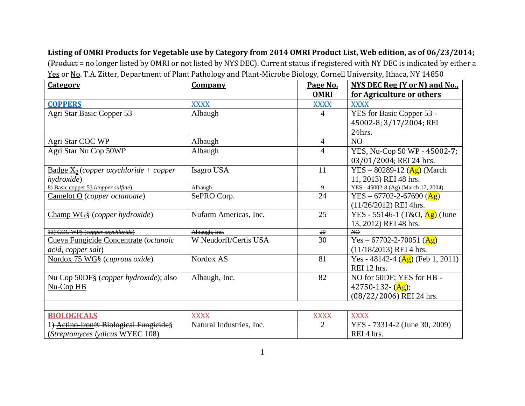**Listing of OMRI Products for Vegetable use by Category from 2014 OMRI Product List, Web edition, as of 06/23/2014;** (Product = no longer listed by OMRI or not listed by NYS DEC). Current status if registered with NY DEC is indicated by either a Yes or No. T.A. Zitter, Department of Plant Pathology and Plant-Microbe Biology, Cornell University, Ithaca, NY 14850

| <b>Category</b>                                            | <b>Company</b>           | Page No.       | NYS DEC Reg (Y or N) and No.                |
|------------------------------------------------------------|--------------------------|----------------|---------------------------------------------|
|                                                            |                          | <b>OMRI</b>    | for Agriculture or others                   |
| <b>COPPERS</b>                                             | <b>XXXX</b>              | <b>XXXX</b>    | <b>XXXX</b>                                 |
| Agri Star Basic Copper 53                                  | Albaugh                  | 4              | YES for Basic Copper 53 -                   |
|                                                            |                          |                | 45002-8; 3/17/2004; REI                     |
|                                                            |                          |                | 24hrs.                                      |
| Agri Star COC WP                                           | Albaugh                  | 4              | NO                                          |
| Agri Star Nu Cop 50WP                                      | Albaugh                  | 4              | YES, Nu-Cop 50 WP - 45002-7;                |
|                                                            |                          |                | 03/01/2004; REI 24 hrs.                     |
| <u>Badge <math>X_2</math></u> (copper oxychloride + copper | Isagro USA               | 11             | YES – 80289-12 $(Ag)$ (March                |
| hydroxide)                                                 |                          |                | 11, 2013) REI 48 hrs.                       |
| 8) Basic copper 53 (copper sulfate)                        | Albaugh                  | $\overline{9}$ | YES - 45002-8 (Ag) (March 17, 2004)         |
| Camelot O (copper octanoate)                               | SePRO Corp.              | 24             | YES – 67702-2-67690 ( $\overline{Ag}$ )     |
|                                                            |                          |                | $(11/26/2012)$ REI 4hrs.                    |
| Champ WG§ (copper hydroxide)                               | Nufarm Americas, Inc.    | 25             | YES - 55146-1 (T&O, $\overline{Ag}$ ) (June |
|                                                            |                          |                | 13, 2012) REI 48 hrs.                       |
| 13) COC WP§ (copper oxychloride)                           | Albaugh, Inc.            | 20             | N <sub>O</sub>                              |
| Cueva Fungicide Concentrate (octanoic                      | W Neudorff/Certis USA    | 30             | Yes – 67702-2-70051 ( $\overline{Ag}$ )     |
| acid, copper salt)                                         |                          |                | $(11/18/2013)$ REI 4 hrs.                   |
| Nordox 75 WG§ (cuprous oxide)                              | Nordox AS                | 81             | Yes - 48142-4 $(Ag)$ (Feb 1, 2011)          |
|                                                            |                          |                | REI 12 hrs.                                 |
| Nu Cop 50DF§ (copper hydroxide); also                      | Albaugh, Inc.            | 82             | NO for 50DF; YES for HB -                   |
| <u>Nu-Cop HB</u>                                           |                          |                | 42750-132- $(Ag)$ ;                         |
|                                                            |                          |                | (08/22/2006) REI 24 hrs.                    |
|                                                            |                          |                |                                             |
| <b>BIOLOGICALS</b>                                         | <b>XXXX</b>              | <b>XXXX</b>    | <b>XXXX</b>                                 |
| 1) Actino Iron® Biological Fungicide§                      | Natural Industries, Inc. | $\overline{2}$ | YES - 73314-2 (June 30, 2009)               |
| (Streptomyces lydicus WYEC 108)                            |                          |                | REI 4 hrs.                                  |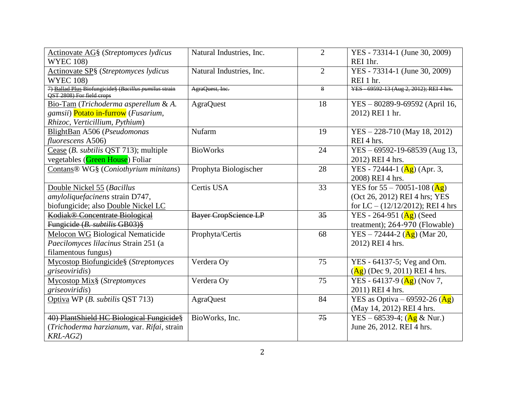|                                                       |                             | $\overline{2}$ |                                            |
|-------------------------------------------------------|-----------------------------|----------------|--------------------------------------------|
| Actinovate AG§ (Streptomyces lydicus                  | Natural Industries, Inc.    |                | YES - 73314-1 (June 30, 2009)              |
| <b>WYEC 108)</b>                                      |                             |                | REI 1hr.                                   |
| Actinovate SP§ (Streptomyces lydicus                  | Natural Industries, Inc.    | $\overline{2}$ | YES - 73314-1 (June 30, 2009)              |
| <b>WYEC 108)</b>                                      |                             |                | REI 1 hr.                                  |
| 7) Ballad Plus Biofungicide§ (Bacillus pumilus strain | AgraQuest, Inc.             | 8              | YES-69592-13 (Aug 2, 2012); REI 4 hrs.     |
| QST 2808) For field crops                             |                             |                |                                            |
| Bio-Tam (Trichoderma asperellum & A.                  | <b>AgraQuest</b>            | 18             | YES-80289-9-69592 (April 16,               |
| gamsii) Potato in-furrow (Fusarium,                   |                             |                | 2012) REI 1 hr.                            |
| Rhizoc, Verticillium, Pythium)                        |                             |                |                                            |
| BlightBan A506 (Pseudomonas                           | Nufarm                      | 19             | YES $-228-710$ (May 18, 2012)              |
| fluorescens A506)                                     |                             |                | REI 4 hrs.                                 |
| Cease (B. subtilis QST 713); multiple                 | <b>BioWorks</b>             | 24             | YES-69592-19-68539 (Aug 13,                |
| vegetables (Green House) Foliar                       |                             |                | 2012) REI 4 hrs.                           |
| Contans <sup>®</sup> WG§ (Coniothyrium minitans)      | Prophyta Biologischer       | 28             | YES - 72444-1 $(Ag)$ (Apr. 3,              |
|                                                       |                             |                | 2008) REI 4 hrs.                           |
| Double Nickel 55 (Bacillus                            | Certis USA                  | 33             | YES for $55 - 70051 - 108$ (Ag)            |
| amyloliquefacinens strain D747,                       |                             |                | (Oct 26, 2012) REI 4 hrs; YES              |
| biofungicide; also Double Nickel LC                   |                             |                | for LC $- (12/12/2012)$ ; REI 4 hrs        |
| Kodiak <sup>®</sup> Concentrate Biological            | <b>Bayer CropScience LP</b> | 35             | YES - 264-951 $(Ag)$ (Seed                 |
| Fungicide (B. subtilis GB03)§                         |                             |                | treatment); 264-970 (Flowable)             |
| Melocon WG Biological Nematicide                      | Prophyta/Certis             | 68             | YES – 72444-2 ( $\overline{Ag}$ ) (Mar 20, |
| Paecilomyces lilacinus Strain 251 (a                  |                             |                | 2012) REI 4 hrs.                           |
| filamentous fungus)                                   |                             |                |                                            |
| Mycostop Biofungicide§ (Streptomyces                  | Verdera Oy                  | 75             | YES - 64137-5; Veg and Orn.                |
| griseoviridis)                                        |                             |                | $(Ag)$ (Dec 9, 2011) REI 4 hrs.            |
| Mycostop Mix§ (Streptomyces                           | Verdera Oy                  | 75             | YES - 64137-9 $(Ag)$ (Nov 7,               |
| griseoviridis)                                        |                             |                | 2011) REI 4 hrs.                           |
| Optiva WP (B. subtilis QST 713)                       | <b>AgraQuest</b>            | 84             | YES as Optiva – 69592-26 $(\overline{Ag})$ |
|                                                       |                             |                | (May 14, 2012) REI 4 hrs.                  |
| 40) PlantShield HC Biological Fungicide§              | BioWorks, Inc.              | 75             | YES – 68539-4; $(Ag &$ Nur.)               |
| (Trichoderma harzianum, var. Rifai, strain            |                             |                | June 26, 2012. REI 4 hrs.                  |
| $KRL-AG2$                                             |                             |                |                                            |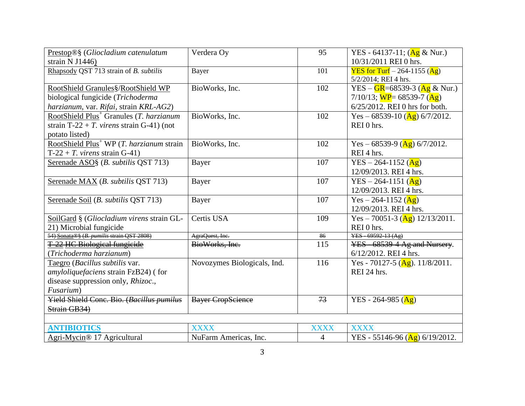| Prestop®§ (Gliocladium catenulatum                      | Verdera Oy                  | 95          | YES - 64137-11; $(Ag \& Nur.)$                |
|---------------------------------------------------------|-----------------------------|-------------|-----------------------------------------------|
| strain $N J1446$                                        |                             |             | 10/31/2011 REI 0 hrs.                         |
| Rhapsody QST 713 strain of B. subtilis                  | <b>Bayer</b>                | 101         | YES for Turf $-264-1155$ (Ag)                 |
|                                                         |                             |             | 5/2/2014; REI 4 hrs.                          |
| RootShield Granules§/RootShield WP                      | BioWorks, Inc.              | 102         | YES – $GR = 68539 - 3$ ( $Ag & \text{Nur.}$ ) |
| biological fungicide (Trichoderma                       |                             |             | $7/10/13$ ; WP= 68539-7 (Ag)                  |
| harzianum, var. Rifai, strain KRL-AG2)                  |                             |             | 6/25/2012. REI 0 hrs for both.                |
| RootShield Plus <sup>+</sup> Granules (T. harzianum     | BioWorks, Inc.              | 102         | Yes – 68539-10 ( $\text{Ag}$ ) 6/7/2012.      |
| strain T-22 + T. virens strain G-41) (not               |                             |             | REI 0 hrs.                                    |
| potato listed)                                          |                             |             |                                               |
| RootShield Plus <sup>+</sup> WP $(T. harzianum strain)$ | BioWorks, Inc.              | 102         | Yes – 68539-9 ( $\text{Ag}$ ) 6/7/2012.       |
| $T-22 + T$ . virens strain G-41)                        |                             |             | REI 4 hrs.                                    |
| Serenade ASO§ (B. subtilis QST 713)                     | Bayer                       | 107         | YES – 264-1152 ( $\overline{Ag}$ )            |
|                                                         |                             |             | 12/09/2013. REI 4 hrs.                        |
| Serenade MAX (B. subtilis QST 713)                      | Bayer                       | 107         | YES – 264-1151 ( $\overline{Ag}$ )            |
|                                                         |                             |             | 12/09/2013. REI 4 hrs.                        |
| Serenade Soil ( <i>B. subtilis</i> QST 713)             | Bayer                       | 107         | Yes – 264-1152 ( $\overline{Ag}$ )            |
|                                                         |                             |             | 12/09/2013. REI 4 hrs.                        |
| SoilGard § (Gliocladium virens strain GL-               | Certis USA                  | 109         | Yes – 70051-3 ( $\overline{Ag}$ ) 12/13/2011. |
| 21) Microbial fungicide                                 |                             |             | REI 0 hrs.                                    |
| 54) Sonata®§ (B. pumilis strain QST 2808)               | AgraQuest, Inc.             | 86          | YES 69592 13 (Ag)                             |
| <b>T-22 HC Biological fungicide</b>                     | BioWorks, Inc.              | 115         | YES 68539-4 Ag and Nursery.                   |
| (Trichoderma harzianum)                                 |                             |             | $6/12/2012$ . REI 4 hrs.                      |
| Taegro (Bacillus subtilis var.                          | Novozymes Biologicals, Ind. | 116         | Yes - 70127-5 ( $\overline{Ag}$ ). 11/8/2011. |
| amyloliquefaciens strain FzB24) (for                    |                             |             | REI 24 hrs.                                   |
| disease suppression only, Rhizoc.,                      |                             |             |                                               |
| Fusarium)                                               |                             |             |                                               |
| Yield Shield Conc. Bio. (Bacillus pumilus               | <b>Bayer CropScience</b>    | 73          | YES - 264-985 $(Ag)$                          |
| Strain GB34)                                            |                             |             |                                               |
|                                                         |                             |             |                                               |
| <b>ANTIBIOTICS</b>                                      | <b>XXXX</b>                 | <b>XXXX</b> | <b>XXXX</b>                                   |
| Agri-Mycin® 17 Agricultural                             | NuFarm Americas, Inc.       | 4           | YES - 55146-96 (Ag) 6/19/2012.                |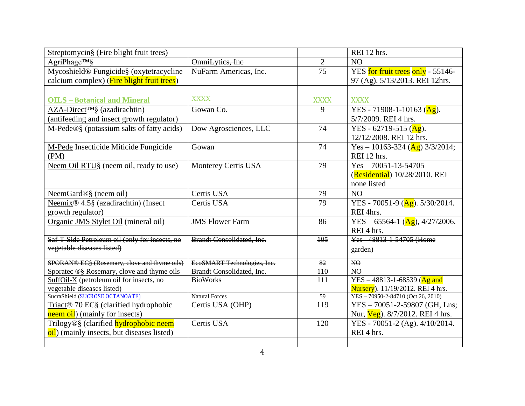| Streptomycin§ (Fire blight fruit trees)               |                                  |                | REI 12 hrs.                                   |
|-------------------------------------------------------|----------------------------------|----------------|-----------------------------------------------|
| AgriPhage <sup>TM</sup> §                             | OmniLytics, Inc                  | $\overline{2}$ | N <sub>O</sub>                                |
| Mycoshield <sup>®</sup> Fungicide§ (oxytetracycline   | NuFarm Americas, Inc.            | 75             | YES for fruit trees only - 55146-             |
| calcium complex) (Fire blight fruit trees)            |                                  |                | 97 (Ag). 5/13/2013. REI 12hrs.                |
|                                                       |                                  |                |                                               |
| <b>OILS - Botanical and Mineral</b>                   | <b>XXXX</b>                      | <b>XXXX</b>    | <b>XXXX</b>                                   |
| AZA-Direct™§ (azadirachtin)                           | Gowan Co.                        | 9              | YES - 71908-1-10163 ( $\overline{Ag}$ ).      |
| (antifeeding and insect growth regulator)             |                                  |                | 5/7/2009. REI 4 hrs.                          |
| M-Pede <sup>®§</sup> (potassium salts of fatty acids) | Dow Agrosciences, LLC            | 74             | YES - 62719-515 (Ag).                         |
|                                                       |                                  |                | 12/12/2008. REI 12 hrs.                       |
| M-Pede Insecticide Miticide Fungicide                 | Gowan                            | 74             | Yes – 10163-324 (Ag) $3/3/2014$ ;             |
| (PM)                                                  |                                  |                | REI 12 hrs.                                   |
| Neem Oil RTU§ (neem oil, ready to use)                | Monterey Certis USA              | 79             | $Yes - 70051 - 13 - 54705$                    |
|                                                       |                                  |                | (Residential) 10/28/2010. REI                 |
|                                                       |                                  |                | none listed                                   |
| NeemGard <sup>®§</sup> (neem oil)                     | Certis USA                       | 79             | N <sub>O</sub>                                |
| $Neemix@$ 4.5§ (azadirachtin) (Insect                 | Certis USA                       | 79             | YES - 70051-9 ( $\text{Ag}$ ). 5/30/2014.     |
| growth regulator)                                     |                                  |                | REI 4hrs.                                     |
| Organic JMS Stylet Oil (mineral oil)                  | <b>JMS Flower Farm</b>           | 86             | YES – 65564-1 ( $\overline{Ag}$ ), 4/27/2006. |
|                                                       |                                  |                | REI 4 hrs.                                    |
| Saf-T-Side Petroleum oil (only for insects, no        | <b>Brandt Consolidated, Inc.</b> | 105            | Yes 48813 1 54705 (Home                       |
| vegetable diseases listed)                            |                                  |                | garden)                                       |
| SPORAN® EC§ (Rosemary, clove and thyme oils)          | EcoSMART Technologies, Inc.      | 82             |                                               |
| Sporatec ®§ Rosemary, clove and thyme oils            | <b>Brandt Consolidated, Inc.</b> | H <sub>0</sub> | N <sub>O</sub><br>N <sub>O</sub>              |
| SuffOil-X (petroleum oil for insects, no              | <b>BioWorks</b>                  | 111            | $\overline{YES - 48813 - 1}$ -68539 (Ag and   |
| vegetable diseases listed)                            |                                  |                | Nursery). 11/19/2012. REI 4 hrs.              |
| SucraShield (SUCROSE OCTANOATE)                       | <b>Natural Forces</b>            | 59             | YES - 70950 2-84710 (Oct 26, 2010)            |
| Triact <sup>®</sup> 70 EC§ (clarified hydrophobic     | Certis USA (OHP)                 | 119            | YES - 70051-2-59807 (GH, Lns;                 |
| neem oil) (mainly for insects)                        |                                  |                | Nur, Veg). 8/7/2012. REI 4 hrs.               |
| Trilogy®§ (clarified hydrophobic neem                 | Certis USA                       | 120            | YES - 70051-2 (Ag). 4/10/2014.                |
| oil) (mainly insects, but diseases listed)            |                                  |                | REI 4 hrs.                                    |
|                                                       |                                  |                |                                               |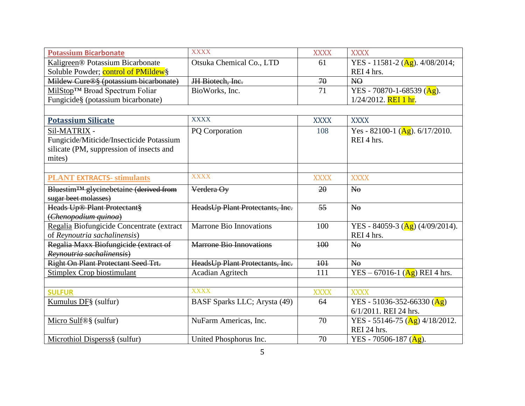| <b>Potassium Bicarbonate</b>                        | <b>XXXX</b>                            | <b>XXXX</b> | <b>XXXX</b>                                   |
|-----------------------------------------------------|----------------------------------------|-------------|-----------------------------------------------|
| Kaligreen® Potassium Bicarbonate                    | Otsuka Chemical Co., LTD               | 61          | YES - 11581-2 $(Ag)$ . 4/08/2014;             |
| Soluble Powder; control of PMildew§                 |                                        |             | REI 4 hrs.                                    |
| Mildew Cure <sup>®§</sup> (potassium bicarbonate)   | JH Biotech, Inc.                       | 70          | N <sub>O</sub>                                |
| MilStop™ Broad Spectrum Foliar                      | BioWorks, Inc.                         | 71          | YES - 70870-1-68539 ( $\overline{Ag}$ ).      |
| Fungicide§ (potassium bicarbonate)                  |                                        |             | $1/24/2012$ . REI 1 hr.                       |
|                                                     |                                        |             |                                               |
| <b>Potassium Silicate</b>                           | <b>XXXX</b>                            | <b>XXXX</b> | <b>XXXX</b>                                   |
| Sil-MATRIX -                                        | PQ Corporation                         | 108         | Yes - 82100-1 ( $\overline{Ag}$ ). 6/17/2010. |
| Fungicide/Miticide/Insecticide Potassium            |                                        |             | REI 4 hrs.                                    |
| silicate (PM, suppression of insects and            |                                        |             |                                               |
| mites)                                              |                                        |             |                                               |
|                                                     |                                        |             |                                               |
| <b>PLANT EXTRACTS-</b> stimulants                   | <b>XXXX</b>                            | <b>XXXX</b> | <b>XXXX</b>                                   |
| Bluestim <sup>TM</sup> glycinebetaine (derived from | Verdera Oy                             | 20          | N <sub>0</sub>                                |
| sugar beet molasses)                                |                                        |             |                                               |
| Heads Up® Plant Protectant§                         | HeadsUp Plant Protectants, Inc.        | 55          | N <sub>0</sub>                                |
| (Chenopodium quinoa)                                |                                        |             |                                               |
| Regalia Biofungicide Concentrate (extract           | <b>Marrone Bio Innovations</b>         | 100         | YES - 84059-3 $(Ag)(4/09/2014)$ .             |
| of Reynoutria sachalinensis)                        |                                        |             | REI 4 hrs.                                    |
| Regalia Maxx Biofungicide (extract of               | <b>Marrone Bio Innovations</b>         | 100         | $N_{\theta}$                                  |
| Reynoutria sachalinensis)                           |                                        |             |                                               |
| <b>Right On Plant Protectant Seed Trt.</b>          | <b>HeadsUp Plant Protectants, Inc.</b> | 101         | $N_{\theta}$                                  |
| <b>Stimplex Crop biostimulant</b>                   | Acadian Agritech                       | 111         | YES – 67016-1 ( $\overline{Ag}$ ) REI 4 hrs.  |
|                                                     |                                        |             |                                               |
| <b>SULFUR</b>                                       | <b>XXXX</b>                            | <b>XXXX</b> | <b>XXXX</b>                                   |
| Kumulus DF§ (sulfur)                                | BASF Sparks LLC; Arysta (49)           | 64          | YES - 51036-352-66330 (Ag)                    |
|                                                     |                                        |             | 6/1/2011. REI 24 hrs.                         |
| Micro Sulf <sup>®§</sup> (sulfur)                   | NuFarm Americas, Inc.                  | 70          | YES - 55146-75 (Ag) $4/18/2012$ .             |
|                                                     |                                        |             | REI 24 hrs.                                   |
| Microthiol Disperss§ (sulfur)                       | United Phosphorus Inc.                 | 70          | YES - 70506-187 $(Ag)$ .                      |